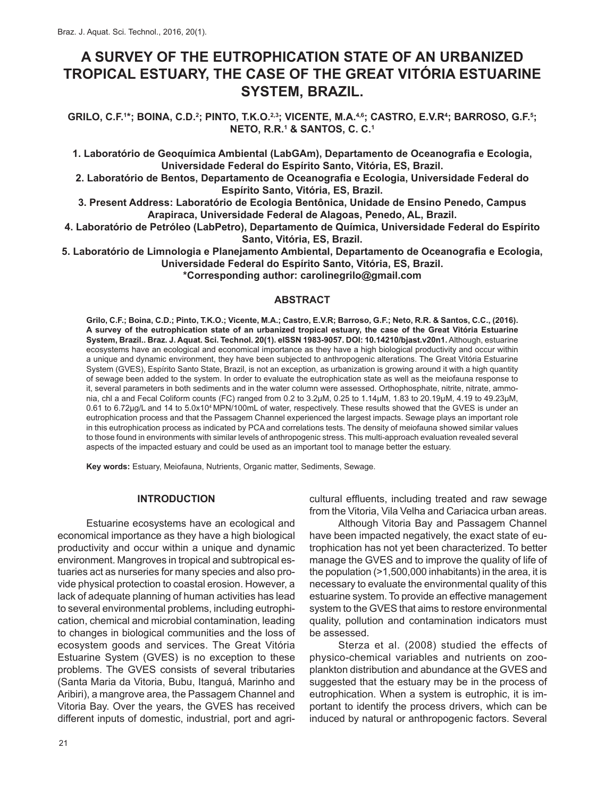# **A SURVEY OF THE EUTROPHICATION STATE OF AN URBANIZED TROPICAL ESTUARY, THE CASE OF THE GREAT VITÓRIA ESTUARINE SYSTEM, BRAZIL.**

GRILO, C.F.<sup>1\*</sup>; BOINA, C.D.<sup>2</sup>; PINTO, T.K.O.<sup>2,3</sup>; VICENTE, M.A.<sup>4,6</sup>; CASTRO, E.V.R<sup>4</sup>; BARROSO, G.F.<sup>5</sup>; **NETO, R.R.1 & SANTOS, C. C.1**

**1. Laboratório de Geoquímica Ambiental (LabGAm), Departamento de Oceanografia e Ecologia, Universidade Federal do Espírito Santo, Vitória, ES, Brazil.**

**2. Laboratório de Bentos, Departamento de Oceanografia e Ecologia, Universidade Federal do Espírito Santo, Vitória, ES, Brazil.**

**3. Present Address: Laboratório de Ecologia Bentônica, Unidade de Ensino Penedo, Campus Arapiraca, Universidade Federal de Alagoas, Penedo, AL, Brazil.**

**4. Laboratório de Petróleo (LabPetro), Departamento de Química, Universidade Federal do Espírito Santo, Vitória, ES, Brazil.**

**5. Laboratório de Limnologia e Planejamento Ambiental, Departamento de Oceanografia e Ecologia, Universidade Federal do Espírito Santo, Vitória, ES, Brazil.**

**\*Corresponding author: carolinegrilo@gmail.com**

#### **ABSTRACT**

**Grilo, C.F.; Boina, C.D.; Pinto, T.K.O.; Vicente, M.A.; Castro, E.V.R; Barroso, G.F.; Neto, R.R. & Santos, C.C., (2016). A survey of the eutrophication state of an urbanized tropical estuary, the case of the Great Vitória Estuarine System, Brazil.. Braz. J. Aquat. Sci. Technol. 20(1). eISSN 1983-9057. DOI: 10.14210/bjast.v20n1.** Although, estuarine ecosystems have an ecological and economical importance as they have a high biological productivity and occur within a unique and dynamic environment, they have been subjected to anthropogenic alterations. The Great Vitória Estuarine System (GVES), Espírito Santo State, Brazil, is not an exception, as urbanization is growing around it with a high quantity of sewage been added to the system. In order to evaluate the eutrophication state as well as the meiofauna response to it, several parameters in both sediments and in the water column were assessed. Orthophosphate, nitrite, nitrate, ammonia, chl a and Fecal Coliform counts (FC) ranged from 0.2 to 3.2μM, 0.25 to 1.14μM, 1.83 to 20.19μM, 4.19 to 49.23μM, 0.61 to 6.72μg/L and 14 to 5.0x104 MPN/100mL of water, respectively. These results showed that the GVES is under an eutrophication process and that the Passagem Channel experienced the largest impacts. Sewage plays an important role in this eutrophication process as indicated by PCA and correlations tests. The density of meiofauna showed similar values to those found in environments with similar levels of anthropogenic stress. This multi-approach evaluation revealed several aspects of the impacted estuary and could be used as an important tool to manage better the estuary.

**Key words:** Estuary, Meiofauna, Nutrients, Organic matter, Sediments, Sewage.

#### **INTRODUCTION**

Estuarine ecosystems have an ecological and economical importance as they have a high biological productivity and occur within a unique and dynamic environment. Mangroves in tropical and subtropical estuaries act as nurseries for many species and also provide physical protection to coastal erosion. However, a lack of adequate planning of human activities has lead to several environmental problems, including eutrophication, chemical and microbial contamination, leading to changes in biological communities and the loss of ecosystem goods and services. The Great Vitória Estuarine System (GVES) is no exception to these problems. The GVES consists of several tributaries (Santa Maria da Vitoria, Bubu, Itanguá, Marinho and Aribiri), a mangrove area, the Passagem Channel and Vitoria Bay. Over the years, the GVES has received different inputs of domestic, industrial, port and agricultural effluents, including treated and raw sewage from the Vitoria, Vila Velha and Cariacica urban areas.

Although Vitoria Bay and Passagem Channel have been impacted negatively, the exact state of eutrophication has not yet been characterized. To better manage the GVES and to improve the quality of life of the population (>1,500,000 inhabitants) in the area, it is necessary to evaluate the environmental quality of this estuarine system. To provide an effective management system to the GVES that aims to restore environmental quality, pollution and contamination indicators must be assessed.

Sterza et al. (2008) studied the effects of physico-chemical variables and nutrients on zooplankton distribution and abundance at the GVES and suggested that the estuary may be in the process of eutrophication. When a system is eutrophic, it is important to identify the process drivers, which can be induced by natural or anthropogenic factors. Several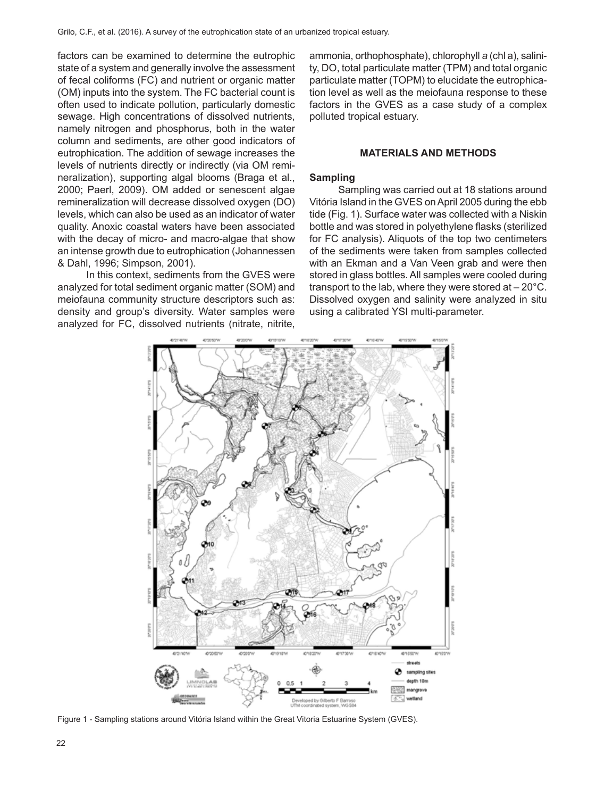factors can be examined to determine the eutrophic state of a system and generally involve the assessment of fecal coliforms (FC) and nutrient or organic matter (OM) inputs into the system. The FC bacterial count is often used to indicate pollution, particularly domestic sewage. High concentrations of dissolved nutrients, namely nitrogen and phosphorus, both in the water column and sediments, are other good indicators of eutrophication. The addition of sewage increases the levels of nutrients directly or indirectly (via OM remineralization), supporting algal blooms (Braga et al., 2000; Paerl, 2009). OM added or senescent algae remineralization will decrease dissolved oxygen (DO) levels, which can also be used as an indicator of water quality. Anoxic coastal waters have been associated with the decay of micro- and macro-algae that show an intense growth due to eutrophication (Johannessen & Dahl, 1996; Simpson, 2001).

In this context, sediments from the GVES were analyzed for total sediment organic matter (SOM) and meiofauna community structure descriptors such as: density and group's diversity. Water samples were analyzed for FC, dissolved nutrients (nitrate, nitrite,

ammonia, orthophosphate), chlorophyll *a* (chl a), salinity, DO, total particulate matter (TPM) and total organic particulate matter (TOPM) to elucidate the eutrophication level as well as the meiofauna response to these factors in the GVES as a case study of a complex polluted tropical estuary.

#### **MATERIALS AND METHODS**

## **Sampling**

Sampling was carried out at 18 stations around Vitória Island in the GVES on April 2005 during the ebb tide (Fig. 1). Surface water was collected with a Niskin bottle and was stored in polyethylene flasks (sterilized for FC analysis). Aliquots of the top two centimeters of the sediments were taken from samples collected with an Ekman and a Van Veen grab and were then stored in glass bottles. All samples were cooled during transport to the lab, where they were stored at – 20°C. Dissolved oxygen and salinity were analyzed in situ using a calibrated YSI multi-parameter.



Figure 1 - Sampling stations around Vitória Island within the Great Vitoria Estuarine System (GVES).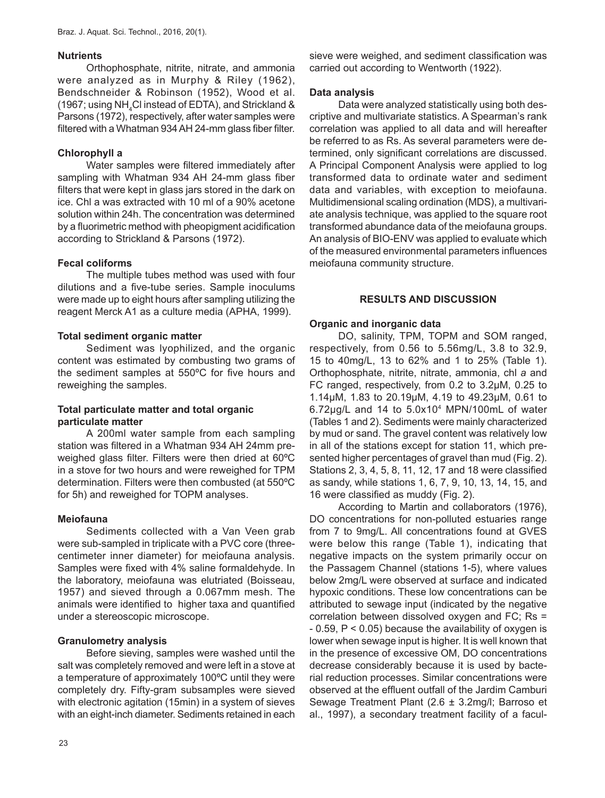#### **Nutrients**

Orthophosphate, nitrite, nitrate, and ammonia were analyzed as in Murphy & Riley (1962), Bendschneider & Robinson (1952), Wood et al. (1967; using NH $_{\rm 4}$ CI instead of EDTA), and Strickland & Parsons (1972), respectively, after water samples were filtered with a Whatman 934 AH 24-mm glass fiber filter.

## **Chlorophyll a**

Water samples were filtered immediately after sampling with Whatman 934 AH 24-mm glass fiber filters that were kept in glass jars stored in the dark on ice. Chl a was extracted with 10 ml of a 90% acetone solution within 24h. The concentration was determined by a fluorimetric method with pheopigment acidification according to Strickland & Parsons (1972).

## **Fecal coliforms**

The multiple tubes method was used with four dilutions and a five-tube series. Sample inoculums were made up to eight hours after sampling utilizing the reagent Merck A1 as a culture media (APHA, 1999).

## **Total sediment organic matter**

Sediment was lyophilized, and the organic content was estimated by combusting two grams of the sediment samples at 550ºC for five hours and reweighing the samples.

## **Total particulate matter and total organic particulate matter**

A 200ml water sample from each sampling station was filtered in a Whatman 934 AH 24mm preweighed glass filter. Filters were then dried at 60ºC in a stove for two hours and were reweighed for TPM determination. Filters were then combusted (at 550ºC for 5h) and reweighed for TOPM analyses.

## **Meiofauna**

Sediments collected with a Van Veen grab were sub-sampled in triplicate with a PVC core (threecentimeter inner diameter) for meiofauna analysis. Samples were fixed with 4% saline formaldehyde. In the laboratory, meiofauna was elutriated (Boisseau, 1957) and sieved through a 0.067mm mesh. The animals were identified to higher taxa and quantified under a stereoscopic microscope.

# **Granulometry analysis**

Before sieving, samples were washed until the salt was completely removed and were left in a stove at a temperature of approximately 100ºC until they were completely dry. Fifty-gram subsamples were sieved with electronic agitation (15min) in a system of sieves with an eight-inch diameter. Sediments retained in each sieve were weighed, and sediment classification was carried out according to Wentworth (1922).

## **Data analysis**

Data were analyzed statistically using both descriptive and multivariate statistics. A Spearman's rank correlation was applied to all data and will hereafter be referred to as Rs. As several parameters were determined, only significant correlations are discussed. A Principal Component Analysis were applied to log transformed data to ordinate water and sediment data and variables, with exception to meiofauna. Multidimensional scaling ordination (MDS), a multivariate analysis technique, was applied to the square root transformed abundance data of the meiofauna groups. An analysis of BIO-ENV was applied to evaluate which of the measured environmental parameters influences meiofauna community structure.

## **RESULTS AND DISCUSSION**

## **Organic and inorganic data**

DO, salinity, TPM, TOPM and SOM ranged, respectively, from 0.56 to 5.56mg/L, 3.8 to 32.9, 15 to 40mg/L, 13 to 62% and 1 to 25% (Table 1). Orthophosphate, nitrite, nitrate, ammonia, chl *a* and FC ranged, respectively, from 0.2 to 3.2μM, 0.25 to 1.14μM, 1.83 to 20.19μM, 4.19 to 49.23μM, 0.61 to 6.72μg/L and 14 to 5.0x104 MPN/100mL of water (Tables 1 and 2). Sediments were mainly characterized by mud or sand. The gravel content was relatively low in all of the stations except for station 11, which presented higher percentages of gravel than mud (Fig. 2). Stations 2, 3, 4, 5, 8, 11, 12, 17 and 18 were classified as sandy, while stations 1, 6, 7, 9, 10, 13, 14, 15, and 16 were classified as muddy (Fig. 2).

According to Martin and collaborators (1976), DO concentrations for non-polluted estuaries range from 7 to 9mg/L. All concentrations found at GVES were below this range (Table 1), indicating that negative impacts on the system primarily occur on the Passagem Channel (stations 1-5), where values below 2mg/L were observed at surface and indicated hypoxic conditions. These low concentrations can be attributed to sewage input (indicated by the negative correlation between dissolved oxygen and FC; Rs =  $-0.59$ ,  $P < 0.05$ ) because the availability of oxygen is lower when sewage input is higher. It is well known that in the presence of excessive OM, DO concentrations decrease considerably because it is used by bacterial reduction processes. Similar concentrations were observed at the effluent outfall of the Jardim Camburi Sewage Treatment Plant (2.6 ± 3.2mg/l; Barroso et al., 1997), a secondary treatment facility of a facul-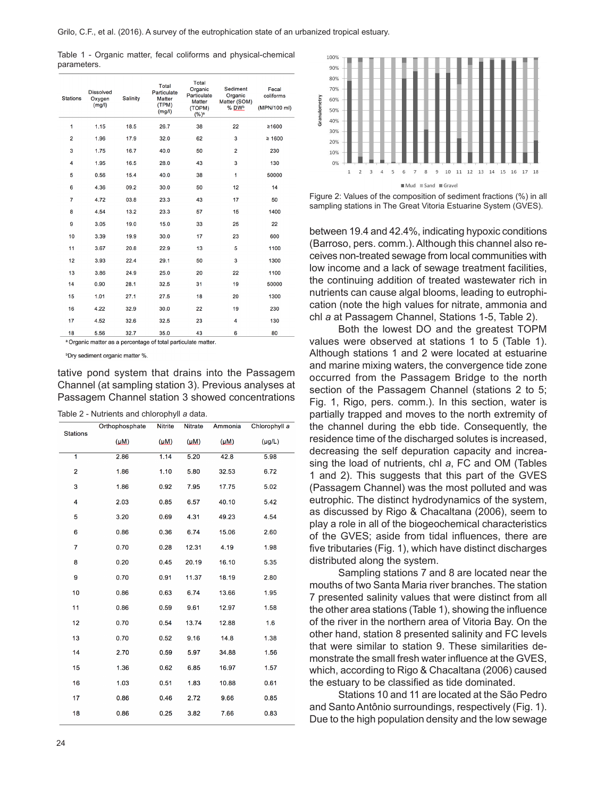Table 1 - Organic matter, fecal coliforms and physical-chemical parameters.

| <b>Stations</b> | <b>Dissolved</b><br>Oxygen<br>(mg/l) | <b>Salinity</b> | Total<br>Particulate<br>Matter<br>(TPM)<br>(mg/l) | Total<br>Organic<br>Particulate<br><b>Matter</b><br>(TOPM)<br>$(%)^a$ | Sediment<br>Organic<br>Matter (SOM)<br>% DWb | Fecal<br>coliforms<br>(MPN/100 ml) |
|-----------------|--------------------------------------|-----------------|---------------------------------------------------|-----------------------------------------------------------------------|----------------------------------------------|------------------------------------|
| 1               | 1.15                                 | 18.5            | 26.7                                              | 38                                                                    | 22                                           | ≥1600                              |
| 2               | 1.96                                 | 17.9            | 32.0                                              | 62                                                                    | 3                                            | $\geq 1600$                        |
| 3               | 1.75                                 | 16.7            | 40.0                                              | 50                                                                    | $\overline{2}$                               | 230                                |
| 4               | 1.95                                 | 16.5            | 28.0                                              | 43                                                                    | 3                                            | 130                                |
| 5               | 0.56                                 | 15.4            | 40.0                                              | 38                                                                    | 1                                            | 50000                              |
| 6               | 4.36                                 | 09.2            | 30.0                                              | 50                                                                    | 12                                           | 14                                 |
| 7               | 4.72                                 | 03.8            | 23.3                                              | 43                                                                    | 17                                           | 50                                 |
| 8               | 4.54                                 | 13.2            | 23.3                                              | 57                                                                    | 15                                           | 1400                               |
| 9               | 3.05                                 | 19.0            | 15.0                                              | 33                                                                    | 25                                           | 22                                 |
| 10              | 3.39                                 | 19.9            | 30.0                                              | 17                                                                    | 23                                           | 600                                |
| 11              | 3.67                                 | 20.8            | 22.9                                              | 13                                                                    | 5                                            | 1100                               |
| 12              | 3.93                                 | 22.4            | 29.1                                              | 50                                                                    | 3                                            | 1300                               |
| 13              | 3.86                                 | 24.9            | 25.0                                              | 20                                                                    | 22                                           | 1100                               |
| 14              | 0.90                                 | 28.1            | 32.5                                              | 31                                                                    | 19                                           | 50000                              |
| 15              | 1.01                                 | 27.1            | 27.5                                              | 18                                                                    | 20                                           | 1300                               |
| 16              | 4.22                                 | 32.9            | 30.0                                              | 22                                                                    | 19                                           | 230                                |
| 17              | 4.52                                 | 32.6            | 32.5                                              | 23                                                                    | 4                                            | 130                                |
| 18              | 5.56                                 | 32.7            | 35.0                                              | 43                                                                    | 6                                            | 80                                 |

<sup>a</sup> Organic matter as a percentage of total particulate matter.

<sup>b</sup>Dry sediment organic matter %.

tative pond system that drains into the Passagem Channel (at sampling station 3). Previous analyses at Passagem Channel station 3 showed concentrations

| Table 2 - Nutrients and chlorophyll a data. |  |
|---------------------------------------------|--|
|---------------------------------------------|--|

|                 | Orthophosphate | <b>Nitrite</b> | <b>Nitrate</b> | Ammonia   | Chlorophyll a |
|-----------------|----------------|----------------|----------------|-----------|---------------|
| <b>Stations</b> | (MM)           | (MM)           | $(\mu M)$      | $(\mu M)$ | $(\mu g/L)$   |
| $\overline{1}$  | 2.86           | 1.14           | 5.20           | 42.8      | 5.98          |
| 2               | 1.86           | 1.10           | 5.80           | 32.53     | 6.72          |
| 3               | 1.86           | 0.92           | 7.95           | 17.75     | 5.02          |
| 4               | 2.03           | 0.85           | 6.57           | 40.10     | 5.42          |
| 5               | 3.20           | 0.69           | 4.31           | 49.23     | 4.54          |
| 6               | 0.86           | 0.36           | 6.74           | 15.06     | 2.60          |
| $\overline{7}$  | 0.70           | 0.28           | 12.31          | 4.19      | 1.98          |
| 8               | 0.20           | 0.45           | 20.19          | 16.10     | 5.35          |
| 9               | 0.70           | 0.91           | 11.37          | 18.19     | 2.80          |
| 10              | 0.86           | 0.63           | 6.74           | 13.66     | 1.95          |
| 11              | 0.86           | 0.59           | 9.61           | 12.97     | 1.58          |
| 12              | 0.70           | 0.54           | 13.74          | 12.88     | 1.6           |
| 13              | 0.70           | 0.52           | 9.16           | 14.8      | 1.38          |
| 14              | 2.70           | 0.59           | 5.97           | 34.88     | 1.56          |
| 15              | 1.36           | 0.62           | 6.85           | 16.97     | 1.57          |
| 16              | 1.03           | 0.51           | 1.83           | 10.88     | 0.61          |
| 17              | 0.86           | 0.46           | 2.72           | 9.66      | 0.85          |
| 18              | 0.86           | 0.25           | 3.82           | 7.66      | 0.83          |





between 19.4 and 42.4%, indicating hypoxic conditions (Barroso, pers. comm.). Although this channel also receives non-treated sewage from local communities with low income and a lack of sewage treatment facilities, the continuing addition of treated wastewater rich in nutrients can cause algal blooms, leading to eutrophication (note the high values for nitrate, ammonia and chl *a* at Passagem Channel, Stations 1-5, Table 2).

Both the lowest DO and the greatest TOPM values were observed at stations 1 to 5 (Table 1). Although stations 1 and 2 were located at estuarine and marine mixing waters, the convergence tide zone occurred from the Passagem Bridge to the north section of the Passagem Channel (stations 2 to 5; Fig. 1, Rigo, pers. comm.). In this section, water is partially trapped and moves to the north extremity of the channel during the ebb tide. Consequently, the residence time of the discharged solutes is increased, decreasing the self depuration capacity and increasing the load of nutrients, chl *a*, FC and OM (Tables 1 and 2). This suggests that this part of the GVES (Passagem Channel) was the most polluted and was eutrophic. The distinct hydrodynamics of the system, as discussed by Rigo & Chacaltana (2006), seem to play a role in all of the biogeochemical characteristics of the GVES; aside from tidal influences, there are five tributaries (Fig. 1), which have distinct discharges distributed along the system.

Sampling stations 7 and 8 are located near the mouths of two Santa Maria river branches. The station 7 presented salinity values that were distinct from all the other area stations (Table 1), showing the influence of the river in the northern area of Vitoria Bay. On the other hand, station 8 presented salinity and FC levels that were similar to station 9. These similarities demonstrate the small fresh water influence at the GVES, which, according to Rigo & Chacaltana (2006) caused the estuary to be classified as tide dominated.

Stations 10 and 11 are located at the São Pedro and Santo Antônio surroundings, respectively (Fig. 1). Due to the high population density and the low sewage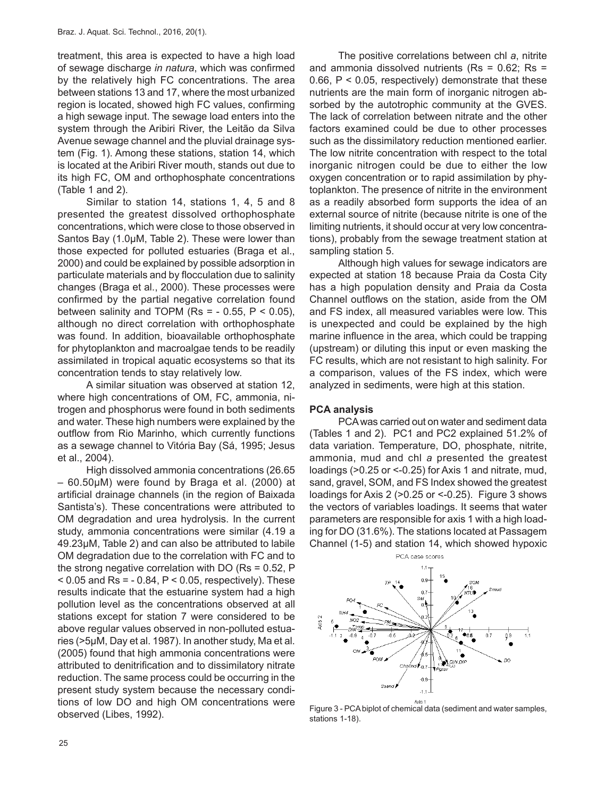treatment, this area is expected to have a high load of sewage discharge *in natura*, which was confirmed by the relatively high FC concentrations. The area between stations 13 and 17, where the most urbanized region is located, showed high FC values, confirming a high sewage input. The sewage load enters into the system through the Aribiri River, the Leitão da Silva Avenue sewage channel and the pluvial drainage system (Fig. 1). Among these stations, station 14, which is located at the Aribiri River mouth, stands out due to its high FC, OM and orthophosphate concentrations (Table 1 and 2).

Similar to station 14, stations 1, 4, 5 and 8 presented the greatest dissolved orthophosphate concentrations, which were close to those observed in Santos Bay (1.0µM, Table 2). These were lower than those expected for polluted estuaries (Braga et al., 2000) and could be explained by possible adsorption in particulate materials and by flocculation due to salinity changes (Braga et al., 2000). These processes were confirmed by the partial negative correlation found between salinity and TOPM (Rs =  $-$  0.55, P < 0.05), although no direct correlation with orthophosphate was found. In addition, bioavailable orthophosphate for phytoplankton and macroalgae tends to be readily assimilated in tropical aquatic ecosystems so that its concentration tends to stay relatively low.

A similar situation was observed at station 12, where high concentrations of OM, FC, ammonia, nitrogen and phosphorus were found in both sediments and water. These high numbers were explained by the outflow from Rio Marinho, which currently functions as a sewage channel to Vitória Bay (Sá, 1995; Jesus et al., 2004).

High dissolved ammonia concentrations (26.65 – 60.50µM) were found by Braga et al. (2000) at artificial drainage channels (in the region of Baixada Santista's). These concentrations were attributed to OM degradation and urea hydrolysis. In the current study, ammonia concentrations were similar (4.19 a 49.23μM, Table 2) and can also be attributed to labile OM degradation due to the correlation with FC and to the strong negative correlation with DO (Rs = 0.52, P  $<$  0.05 and Rs = - 0.84, P  $<$  0.05, respectively). These results indicate that the estuarine system had a high pollution level as the concentrations observed at all stations except for station 7 were considered to be above regular values observed in non-polluted estuaries (>5µM, Day et al. 1987). In another study, Ma et al. (2005) found that high ammonia concentrations were attributed to denitrification and to dissimilatory nitrate reduction. The same process could be occurring in the present study system because the necessary conditions of low DO and high OM concentrations were observed (Libes, 1992).

The positive correlations between chl *a*, nitrite and ammonia dissolved nutrients ( $Rs = 0.62$ ;  $Rs =$ 0.66, P < 0.05, respectively) demonstrate that these nutrients are the main form of inorganic nitrogen absorbed by the autotrophic community at the GVES. The lack of correlation between nitrate and the other factors examined could be due to other processes such as the dissimilatory reduction mentioned earlier. The low nitrite concentration with respect to the total inorganic nitrogen could be due to either the low oxygen concentration or to rapid assimilation by phytoplankton. The presence of nitrite in the environment as a readily absorbed form supports the idea of an external source of nitrite (because nitrite is one of the limiting nutrients, it should occur at very low concentrations), probably from the sewage treatment station at sampling station 5.

Although high values for sewage indicators are expected at station 18 because Praia da Costa City has a high population density and Praia da Costa Channel outflows on the station, aside from the OM and FS index, all measured variables were low. This is unexpected and could be explained by the high marine influence in the area, which could be trapping (upstream) or diluting this input or even masking the FC results, which are not resistant to high salinity. For a comparison, values of the FS index, which were analyzed in sediments, were high at this station.

# **PCA analysis**

PCA was carried out on water and sediment data (Tables 1 and 2). PC1 and PC2 explained 51.2% of data variation. Temperature, DO, phosphate, nitrite, ammonia, mud and chl *a* presented the greatest loadings (>0.25 or <-0.25) for Axis 1 and nitrate, mud, sand, gravel, SOM, and FS Index showed the greatest loadings for Axis 2 (>0.25 or <-0.25). Figure 3 shows the vectors of variables loadings. It seems that water parameters are responsible for axis 1 with a high loading for DO (31.6%). The stations located at Passagem Channel (1-5) and station 14, which showed hypoxic



Figure 3 - PCA biplot of chemical data (sediment and water samples, stations 1-18).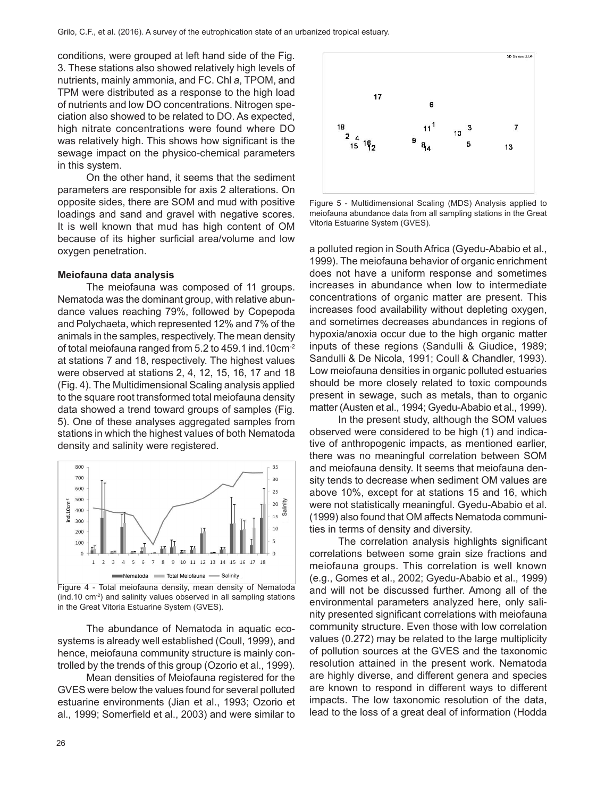conditions, were grouped at left hand side of the Fig. 3. These stations also showed relatively high levels of nutrients, mainly ammonia, and FC. Chl *a*, TPOM, and TPM were distributed as a response to the high load of nutrients and low DO concentrations. Nitrogen speciation also showed to be related to DO. As expected, high nitrate concentrations were found where DO was relatively high. This shows how significant is the sewage impact on the physico-chemical parameters in this system.

On the other hand, it seems that the sediment parameters are responsible for axis 2 alterations. On opposite sides, there are SOM and mud with positive loadings and sand and gravel with negative scores. It is well known that mud has high content of OM because of its higher surficial area/volume and low oxygen penetration.

#### **Meiofauna data analysis**

The meiofauna was composed of 11 groups. Nematoda was the dominant group, with relative abundance values reaching 79%, followed by Copepoda and Polychaeta, which represented 12% and 7% of the animals in the samples, respectively. The mean density of total meiofauna ranged from 5.2 to 459.1 ind.10cm-2 at stations 7 and 18, respectively. The highest values were observed at stations 2, 4, 12, 15, 16, 17 and 18 (Fig. 4). The Multidimensional Scaling analysis applied to the square root transformed total meiofauna density data showed a trend toward groups of samples (Fig. 5). One of these analyses aggregated samples from stations in which the highest values of both Nematoda density and salinity were registered.



Figure 4 - Total meiofauna density, mean density of Nematoda (ind.10 cm-2) and salinity values observed in all sampling stations in the Great Vitoria Estuarine System (GVES).

The abundance of Nematoda in aquatic ecosystems is already well established (Coull, 1999), and hence, meiofauna community structure is mainly controlled by the trends of this group (Ozorio et al., 1999).

Mean densities of Meiofauna registered for the GVES were below the values found for several polluted estuarine environments (Jian et al., 1993; Ozorio et al., 1999; Somerfield et al., 2003) and were similar to



Figure 5 - Multidimensional Scaling (MDS) Analysis applied to meiofauna abundance data from all sampling stations in the Great Vitoria Estuarine System (GVES).

a polluted region in South Africa (Gyedu-Ababio et al., 1999). The meiofauna behavior of organic enrichment does not have a uniform response and sometimes increases in abundance when low to intermediate concentrations of organic matter are present. This increases food availability without depleting oxygen, and sometimes decreases abundances in regions of hypoxia/anoxia occur due to the high organic matter inputs of these regions (Sandulli & Giudice, 1989; Sandulli & De Nicola, 1991; Coull & Chandler, 1993). Low meiofauna densities in organic polluted estuaries should be more closely related to toxic compounds present in sewage, such as metals, than to organic matter (Austen et al., 1994; Gyedu-Ababio et al., 1999).

In the present study, although the SOM values observed were considered to be high (1) and indicative of anthropogenic impacts, as mentioned earlier, there was no meaningful correlation between SOM and meiofauna density. It seems that meiofauna density tends to decrease when sediment OM values are above 10%, except for at stations 15 and 16, which were not statistically meaningful. Gyedu-Ababio et al. (1999) also found that OM affects Nematoda communities in terms of density and diversity.

The correlation analysis highlights significant correlations between some grain size fractions and meiofauna groups. This correlation is well known (e.g., Gomes et al., 2002; Gyedu-Ababio et al., 1999) and will not be discussed further. Among all of the environmental parameters analyzed here, only salinity presented significant correlations with meiofauna community structure. Even those with low correlation values (0.272) may be related to the large multiplicity of pollution sources at the GVES and the taxonomic resolution attained in the present work. Nematoda are highly diverse, and different genera and species are known to respond in different ways to different impacts. The low taxonomic resolution of the data, lead to the loss of a great deal of information (Hodda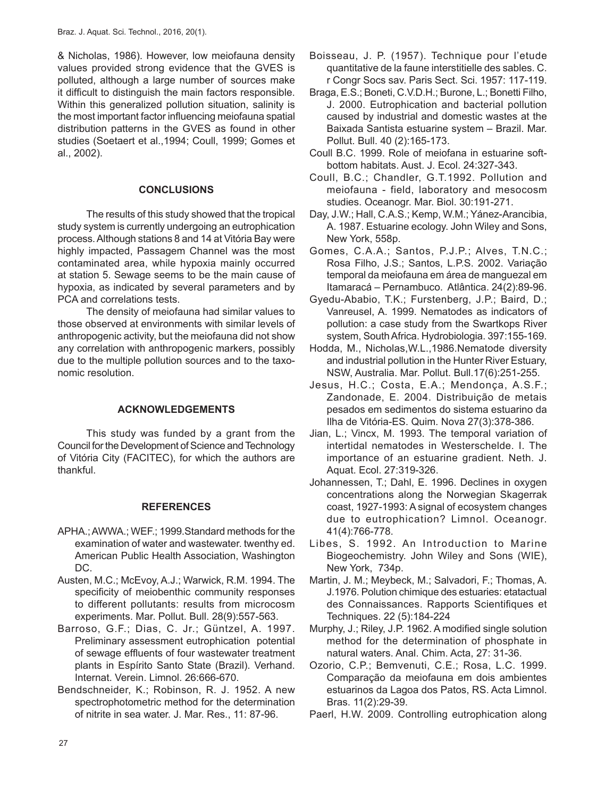& Nicholas, 1986). However, low meiofauna density values provided strong evidence that the GVES is polluted, although a large number of sources make it difficult to distinguish the main factors responsible. Within this generalized pollution situation, salinity is the most important factor influencing meiofauna spatial distribution patterns in the GVES as found in other studies (Soetaert et al.,1994; Coull, 1999; Gomes et al., 2002).

## **CONCLUSIONS**

The results of this study showed that the tropical study system is currently undergoing an eutrophication process. Although stations 8 and 14 at Vitória Bay were highly impacted, Passagem Channel was the most contaminated area, while hypoxia mainly occurred at station 5. Sewage seems to be the main cause of hypoxia, as indicated by several parameters and by PCA and correlations tests.

The density of meiofauna had similar values to those observed at environments with similar levels of anthropogenic activity, but the meiofauna did not show any correlation with anthropogenic markers, possibly due to the multiple pollution sources and to the taxonomic resolution.

# **ACKNOWLEDGEMENTS**

This study was funded by a grant from the Council for the Development of Science and Technology of Vitória City (FACITEC), for which the authors are thankful.

## **REFERENCES**

- APHA.; AWWA.; WEF.; 1999.Standard methods for the examination of water and wastewater. twenthy ed. American Public Health Association, Washington DC.
- Austen, M.C.; McEvoy, A.J.; Warwick, R.M. 1994. The specificity of meiobenthic community responses to different pollutants: results from microcosm experiments. Mar. Pollut. Bull. 28(9):557-563.
- Barroso, G.F.; Dias, C. Jr.; Güntzel, A. 1997. Preliminary assessment eutrophication potential of sewage effluents of four wastewater treatment plants in Espírito Santo State (Brazil). Verhand. Internat. Verein. Limnol. 26:666-670.
- Bendschneider, K.; Robinson, R. J. 1952. A new spectrophotometric method for the determination of nitrite in sea water. J. Mar. Res., 11: 87-96.
- Boisseau, J. P. (1957). Technique pour l'etude quantitative de la faune interstitielle des sables. C. r Congr Socs sav. Paris Sect. Sci. 1957: 117-119.
- Braga, E.S.; Boneti, C.V.D.H.; Burone, L.; Bonetti Filho, J. 2000. Eutrophication and bacterial pollution caused by industrial and domestic wastes at the Baixada Santista estuarine system – Brazil. Mar. Pollut. Bull. 40 (2):165-173.
- Coull B.C. 1999. Role of meiofana in estuarine softbottom habitats. Aust. J. Ecol. 24:327-343.
- Coull, B.C.; Chandler, G.T.1992. Pollution and meiofauna - field, laboratory and mesocosm studies. Oceanogr. Mar. Biol. 30:191-271.
- Day, J.W.; Hall, C.A.S.; Kemp, W.M.; Yánez-Arancibia, A. 1987. Estuarine ecology. John Wiley and Sons, New York, 558p.
- Gomes, C.A.A.; Santos, P.J.P.; Alves, T.N.C.; Rosa Filho, J.S.; Santos, L.P.S. 2002. Variação temporal da meiofauna em área de manguezal em Itamaracá – Pernambuco. Atlântica. 24(2):89-96.
- Gyedu-Ababio, T.K.; Furstenberg, J.P.; Baird, D.; Vanreusel, A. 1999. Nematodes as indicators of pollution: a case study from the Swartkops River system, South Africa. Hydrobiologia. 397:155-169.
- Hodda, M., Nicholas,W.L.,1986.Nematode diversity and industrial pollution in the Hunter River Estuary, NSW, Australia. Mar. Pollut. Bull.17(6):251-255.
- Jesus, H.C.; Costa, E.A.; Mendonça, A.S.F.; Zandonade, E. 2004. Distribuição de metais pesados em sedimentos do sistema estuarino da Ilha de Vitória-ES. Quim. Nova 27(3):378-386.
- Jian, L.; Vincx, M. 1993. The temporal variation of intertidal nematodes in Westerschelde. I. The importance of an estuarine gradient. Neth. J. Aquat. Ecol. 27:319-326.
- Johannessen, T.; Dahl, E. 1996. Declines in oxygen concentrations along the Norwegian Skagerrak coast, 1927-1993: A signal of ecosystem changes due to eutrophication? Limnol. Oceanogr. 41(4):766-778.
- Libes, S. 1992. An Introduction to Marine Biogeochemistry. John Wiley and Sons (WIE), New York, 734p.
- Martin, J. M.; Meybeck, M.; Salvadori, F.; Thomas, A. J.1976. Polution chimique des estuaries: etatactual des Connaissances. Rapports Scientifiques et Techniques. 22 (5):184-224
- Murphy, J.; Riley, J.P. 1962. A modified single solution method for the determination of phosphate in natural waters. Anal. Chim. Acta, 27: 31-36.
- Ozorio, C.P.; Bemvenuti, C.E.; Rosa, L.C. 1999. Comparação da meiofauna em dois ambientes estuarinos da Lagoa dos Patos, RS. Acta Limnol. Bras. 11(2):29-39.
- Paerl, H.W. 2009. Controlling eutrophication along